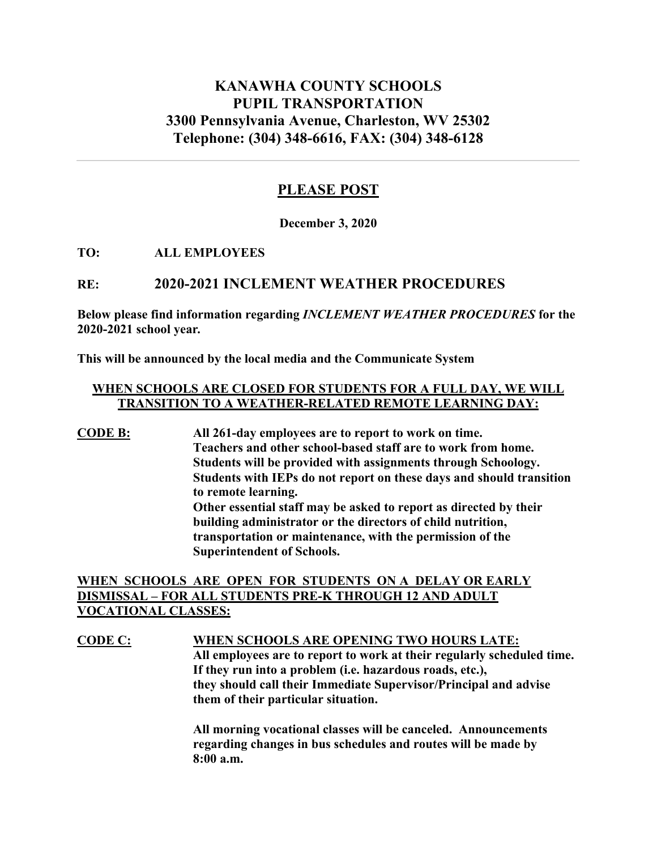# **KANAWHA COUNTY SCHOOLS PUPIL TRANSPORTATION 3300 Pennsylvania Avenue, Charleston, WV 25302 Telephone: (304) 348-6616, FAX: (304) 348-6128**

## **PLEASE POST**

**December 3, 2020**

#### **TO: ALL EMPLOYEES**

## **RE: 2020-2021 INCLEMENT WEATHER PROCEDURES**

**Below please find information regarding** *INCLEMENT WEATHER PROCEDURES* **for the 2020-2021 school year***.*

**This will be announced by the local media and the Communicate System**

### **WHEN SCHOOLS ARE CLOSED FOR STUDENTS FOR A FULL DAY, WE WILL TRANSITION TO A WEATHER-RELATED REMOTE LEARNING DAY:**

**CODE B: All 261-day employees are to report to work on time. Teachers and other school-based staff are to work from home. Students will be provided with assignments through Schoology. Students with IEPs do not report on these days and should transition to remote learning. Other essential staff may be asked to report as directed by their building administrator or the directors of child nutrition, transportation or maintenance, with the permission of the Superintendent of Schools.** 

## **WHEN SCHOOLS ARE OPEN FOR STUDENTS ON A DELAY OR EARLY DISMISSAL – FOR ALL STUDENTS PRE-K THROUGH 12 AND ADULT VOCATIONAL CLASSES:**

**CODE C: WHEN SCHOOLS ARE OPENING TWO HOURS LATE: All employees are to report to work at their regularly scheduled time. If they run into a problem (i.e. hazardous roads, etc.), they should call their Immediate Supervisor/Principal and advise them of their particular situation.** 

> **All morning vocational classes will be canceled. Announcements regarding changes in bus schedules and routes will be made by 8:00 a.m.**